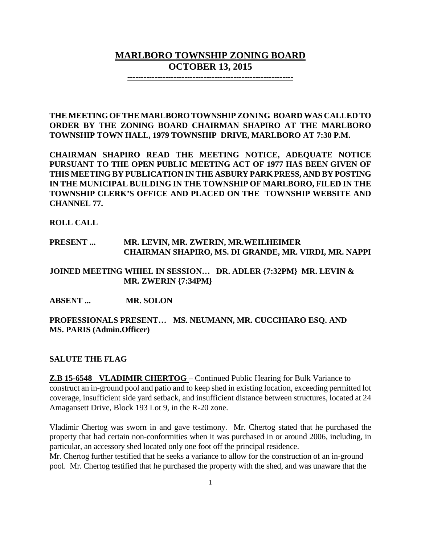# **MARLBORO TOWNSHIP ZONING BOARD OCTOBER 13, 2015**

**-------------------------------------------------------------**

**THE MEETING OF THE MARLBORO TOWNSHIP ZONING BOARD WAS CALLED TO ORDER BY THE ZONING BOARD CHAIRMAN SHAPIRO AT THE MARLBORO TOWNSHIP TOWN HALL, 1979 TOWNSHIP DRIVE, MARLBORO AT 7:30 P.M.**

**CHAIRMAN SHAPIRO READ THE MEETING NOTICE, ADEQUATE NOTICE PURSUANT TO THE OPEN PUBLIC MEETING ACT OF 1977 HAS BEEN GIVEN OF THIS MEETING BY PUBLICATION IN THE ASBURY PARK PRESS, AND BY POSTING IN THE MUNICIPAL BUILDING IN THE TOWNSHIP OF MARLBORO, FILED IN THE TOWNSHIP CLERK'S OFFICE AND PLACED ON THE TOWNSHIP WEBSITE AND CHANNEL 77.**

**ROLL CALL**

### **PRESENT ... MR. LEVIN, MR. ZWERIN, MR.WEILHEIMER CHAIRMAN SHAPIRO, MS. DI GRANDE, MR. VIRDI, MR. NAPPI**

**JOINED MEETING WHIEL IN SESSION… DR. ADLER {7:32PM} MR. LEVIN & MR. ZWERIN {7:34PM}**

**ABSENT ... MR. SOLON**

### **PROFESSIONALS PRESENT… MS. NEUMANN, MR. CUCCHIARO ESQ. AND MS. PARIS (Admin.Officer)**

### **SALUTE THE FLAG**

**Z.B 15-6548 VLADIMIR CHERTOG** – Continued Public Hearing for Bulk Variance to construct an in-ground pool and patio and to keep shed in existing location, exceeding permitted lot coverage, insufficient side yard setback, and insufficient distance between structures, located at 24 Amagansett Drive, Block 193 Lot 9, in the R-20 zone.

Vladimir Chertog was sworn in and gave testimony. Mr. Chertog stated that he purchased the property that had certain non-conformities when it was purchased in or around 2006, including, in particular, an accessory shed located only one foot off the principal residence.

Mr. Chertog further testified that he seeks a variance to allow for the construction of an in-ground pool. Mr. Chertog testified that he purchased the property with the shed, and was unaware that the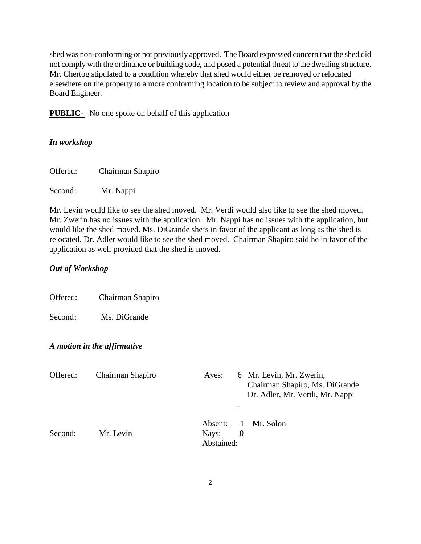shed was non-conforming or not previously approved. The Board expressed concern that the shed did not comply with the ordinance or building code, and posed a potential threat to the dwelling structure. Mr. Chertog stipulated to a condition whereby that shed would either be removed or relocated elsewhere on the property to a more conforming location to be subject to review and approval by the Board Engineer.

**PUBLIC-** No one spoke on behalf of this application

### *In workshop*

| Offered: | Chairman Shapiro |  |
|----------|------------------|--|
|----------|------------------|--|

Second: Mr. Nappi

Mr. Levin would like to see the shed moved. Mr. Verdi would also like to see the shed moved. Mr. Zwerin has no issues with the application. Mr. Nappi has no issues with the application, but would like the shed moved. Ms. DiGrande she's in favor of the applicant as long as the shed is relocated. Dr. Adler would like to see the shed moved. Chairman Shapiro said he in favor of the application as well provided that the shed is moved.

### *Out of Workshop*

Offered: Chairman Shapiro

Second: Ms. DiGrande

### *A motion in the affirmative*

| Offered: | Chairman Shapiro | Ayes:                          | ٠             | 6 Mr. Levin, Mr. Zwerin,<br>Chairman Shapiro, Ms. DiGrande<br>Dr. Adler, Mr. Verdi, Mr. Nappi |
|----------|------------------|--------------------------------|---------------|-----------------------------------------------------------------------------------------------|
| Second:  | Mr. Levin        | Absent:<br>Nays:<br>Abstained: | 1<br>$\theta$ | Mr. Solon                                                                                     |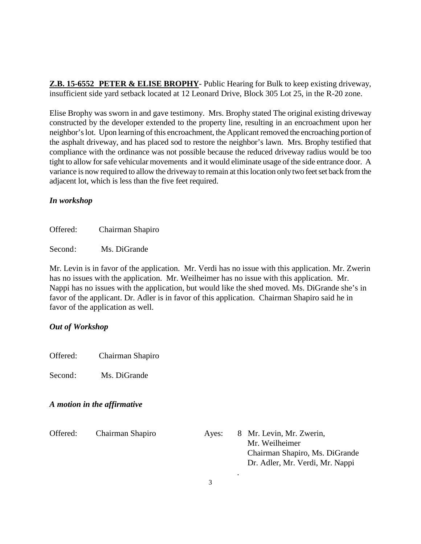**Z.B. 15-6552 PETER & ELISE BROPHY**- Public Hearing for Bulk to keep existing driveway, insufficient side yard setback located at 12 Leonard Drive, Block 305 Lot 25, in the R-20 zone.

Elise Brophy was sworn in and gave testimony. Mrs. Brophy stated The original existing driveway constructed by the developer extended to the property line, resulting in an encroachment upon her neighbor's lot. Upon learning of this encroachment, the Applicant removed the encroaching portion of the asphalt driveway, and has placed sod to restore the neighbor's lawn. Mrs. Brophy testified that compliance with the ordinance was not possible because the reduced driveway radius would be too tight to allow for safe vehicular movements and it would eliminate usage of the side entrance door. A variance is now required to allow the driveway to remain at this location only two feet set back from the adjacent lot, which is less than the five feet required.

### *In workshop*

Offered: Chairman Shapiro

Second: Ms. DiGrande

Mr. Levin is in favor of the application. Mr. Verdi has no issue with this application. Mr. Zwerin has no issues with the application. Mr. Weilheimer has no issue with this application. Mr. Nappi has no issues with the application, but would like the shed moved. Ms. DiGrande she's in favor of the applicant. Dr. Adler is in favor of this application. Chairman Shapiro said he in favor of the application as well.

### *Out of Workshop*

Offered: Chairman Shapiro

Second: Ms. DiGrande

### *A motion in the affirmative*

Offered: Chairman Shapiro Ayes: 8 Mr. Levin, Mr. Zwerin,

 Mr. Weilheimer Chairman Shapiro, Ms. DiGrande Dr. Adler, Mr. Verdi, Mr. Nappi .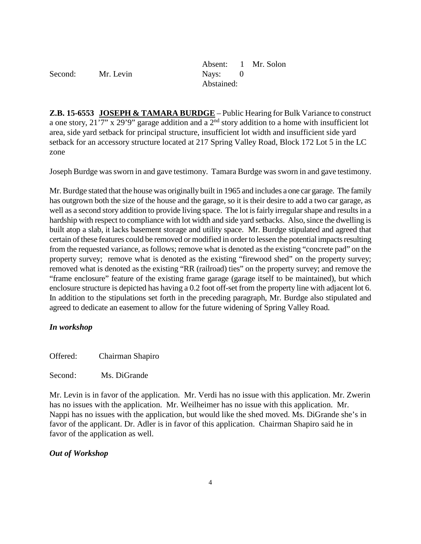|         |           |            | Absent: 1 Mr. Solon |
|---------|-----------|------------|---------------------|
| Second: | Mr. Levin | Nays: 0    |                     |
|         |           | Abstained: |                     |

**Z.B. 15-6553 JOSEPH & TAMARA BURDGE** – Public Hearing for Bulk Variance to construct a one story,  $21'7''$  x 29'9" garage addition and a 2<sup>nd</sup> story addition to a home with insufficient lot area, side yard setback for principal structure, insufficient lot width and insufficient side yard setback for an accessory structure located at 217 Spring Valley Road, Block 172 Lot 5 in the LC zone

Joseph Burdge was sworn in and gave testimony. Tamara Burdge was sworn in and gave testimony.

Mr. Burdge stated that the house was originally built in 1965 and includes a one car garage. The family has outgrown both the size of the house and the garage, so it is their desire to add a two car garage, as well as a second story addition to provide living space. The lot is fairly irregular shape and results in a hardship with respect to compliance with lot width and side yard setbacks. Also, since the dwelling is built atop a slab, it lacks basement storage and utility space. Mr. Burdge stipulated and agreed that certain of these features could be removed or modified in order to lessen the potential impacts resulting from the requested variance, as follows; remove what is denoted as the existing "concrete pad" on the property survey; remove what is denoted as the existing "firewood shed" on the property survey; removed what is denoted as the existing "RR (railroad) ties" on the property survey; and remove the "frame enclosure" feature of the existing frame garage (garage itself to be maintained), but which enclosure structure is depicted has having a 0.2 foot off-set from the property line with adjacent lot 6. In addition to the stipulations set forth in the preceding paragraph, Mr. Burdge also stipulated and agreed to dedicate an easement to allow for the future widening of Spring Valley Road.

### *In workshop*

Offered: Chairman Shapiro

Second: Ms. DiGrande

Mr. Levin is in favor of the application. Mr. Verdi has no issue with this application. Mr. Zwerin has no issues with the application. Mr. Weilheimer has no issue with this application. Mr. Nappi has no issues with the application, but would like the shed moved. Ms. DiGrande she's in favor of the applicant. Dr. Adler is in favor of this application. Chairman Shapiro said he in favor of the application as well.

### *Out of Workshop*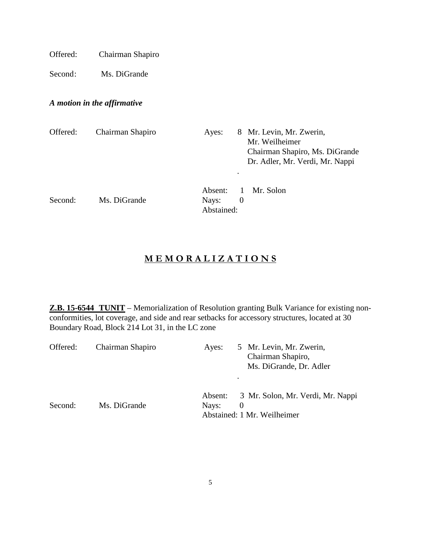Offered: Chairman Shapiro

Second: Ms. DiGrande

# *A motion in the affirmative*

| Offered: | Chairman Shapiro | Ayes:            | $\bullet$           | 8 Mr. Levin, Mr. Zwerin,<br>Mr. Weilheimer<br>Chairman Shapiro, Ms. DiGrande<br>Dr. Adler, Mr. Verdi, Mr. Nappi |
|----------|------------------|------------------|---------------------|-----------------------------------------------------------------------------------------------------------------|
| Second:  | Ms. DiGrande     | Absent:<br>Nays: | 1<br>$\overline{0}$ | Mr. Solon                                                                                                       |
|          |                  | Abstained:       |                     |                                                                                                                 |

# **M E M O R A L I Z A T I O N S**

**Z.B. 15-6544 TUNIT** – Memorialization of Resolution granting Bulk Variance for existing nonconformities, lot coverage, and side and rear setbacks for accessory structures, located at 30 Boundary Road, Block 214 Lot 31, in the LC zone

| Offered: | Chairman Shapiro | Ayes:            | 5 Mr. Levin, Mr. Zwerin,<br>Chairman Shapiro,<br>Ms. DiGrande, Dr. Adler     |
|----------|------------------|------------------|------------------------------------------------------------------------------|
| Second:  | Ms. DiGrande     | Absent:<br>Nays: | 3 Mr. Solon, Mr. Verdi, Mr. Nappi<br>$\theta$<br>Abstained: 1 Mr. Weilheimer |